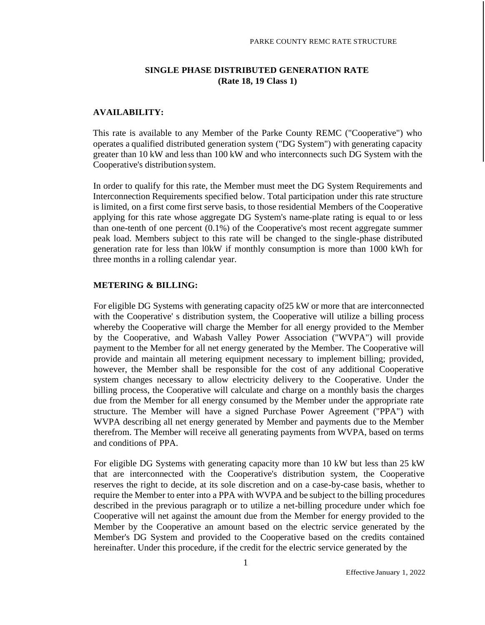### **SINGLE PHASE DISTRIBUTED GENERATION RATE (Rate 18, 19 Class 1)**

#### **AVAILABILITY:**

This rate is available to any Member of the Parke County REMC ("Cooperative") who operates a qualified distributed generation system ("DG System") with generating capacity greater than 10 kW and less than 100 kW and who interconnects such DG System with the Cooperative's distribution system.

In order to qualify for this rate, the Member must meet the DG System Requirements and Interconnection Requirements specified below. Total participation under this rate structure is limited, on a first come first serve basis, to those residential Members of the Cooperative applying for this rate whose aggregate DG System's name-plate rating is equal to or less than one-tenth of one percent (0.1%) of the Cooperative's most recent aggregate summer peak load. Members subject to this rate will be changed to the single-phase distributed generation rate for less than l0kW if monthly consumption is more than 1000 kWh for three months in a rolling calendar year.

#### **METERING & BILLING:**

For eligible DG Systems with generating capacity of25 kW or more that are interconnected with the Cooperative' s distribution system, the Cooperative will utilize a billing process whereby the Cooperative will charge the Member for all energy provided to the Member by the Cooperative, and Wabash Valley Power Association ("WVPA") will provide payment to the Member for all net energy generated by the Member. The Cooperative will provide and maintain all metering equipment necessary to implement billing; provided, however, the Member shall be responsible for the cost of any additional Cooperative system changes necessary to allow electricity delivery to the Cooperative. Under the billing process, the Cooperative will calculate and charge on a monthly basis the charges due from the Member for all energy consumed by the Member under the appropriate rate structure. The Member will have a signed Purchase Power Agreement ("PPA") with WVPA describing all net energy generated by Member and payments due to the Member therefrom. The Member will receive all generating payments from WVPA, based on terms and conditions of PPA.

For eligible DG Systems with generating capacity more than 10 kW but less than 25 kW that are interconnected with the Cooperative's distribution system, the Cooperative reserves the right to decide, at its sole discretion and on a case-by-case basis, whether to require the Member to enter into a PPA with WVPA and be subject to the billing procedures described in the previous paragraph or to utilize a net-billing procedure under which foe Cooperative will net against the amount due from the Member for energy provided to the Member by the Cooperative an amount based on the electric service generated by the Member's DG System and provided to the Cooperative based on the credits contained hereinafter. Under this procedure, if the credit for the electric service generated by the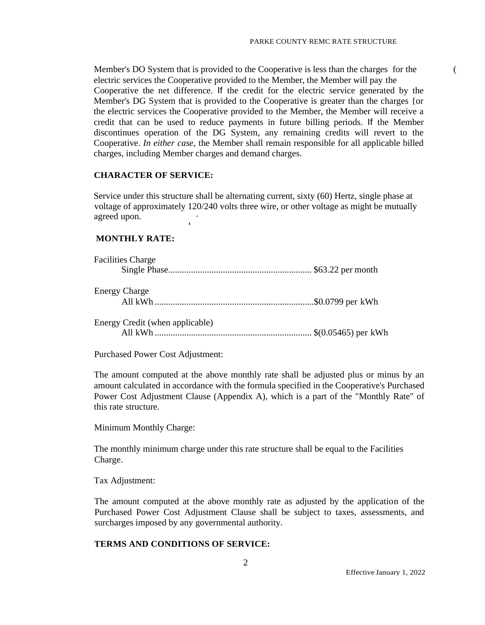Member's DO System that is provided to the Cooperative is less than the charges for the ( electric services the Cooperative provided to the Member, the Member will pay the Cooperative the net difference. If the credit for the electric service generated by the Member's DG System that is provided to the Cooperative is greater than the charges {or the electric services the Cooperative provided to the Member, the Member will receive a credit that can be used to reduce payments in future billing periods. If the Member discontinues operation of the DG System, any remaining credits will revert to the Cooperative. *In either case,* the Member shall remain responsible for all applicable billed charges, including Member charges and demand charges.

#### **CHARACTER OF SERVICE:**

Service under this structure shall be alternating current, sixty (60) Hertz, single phase at voltage of approximately 120/240 volts three wire, or other voltage as might be mutually agreed upon.

#### **MONTHLY RATE:**

| <b>Facilities Charge</b>        |  |
|---------------------------------|--|
|                                 |  |
| <b>Energy Charge</b>            |  |
|                                 |  |
| Energy Credit (when applicable) |  |
|                                 |  |

Purchased Power Cost Adjustment:

The amount computed at the above monthly rate shall be adjusted plus or minus by an amount calculated in accordance with the formula specified in the Cooperative's Purchased Power Cost Adjustment Clause (Appendix A), which is a part of the "Monthly Rate" of this rate structure.

Minimum Monthly Charge:

The monthly minimum charge under this rate structure shall be equal to the Facilities Charge.

Tax Adjustment:

The amount computed at the above monthly rate as adjusted by the application of the Purchased Power Cost Adjustment Clause shall be subject to taxes, assessments, and surcharges imposed by any governmental authority.

#### **TERMS AND CONDITIONS OF SERVICE:**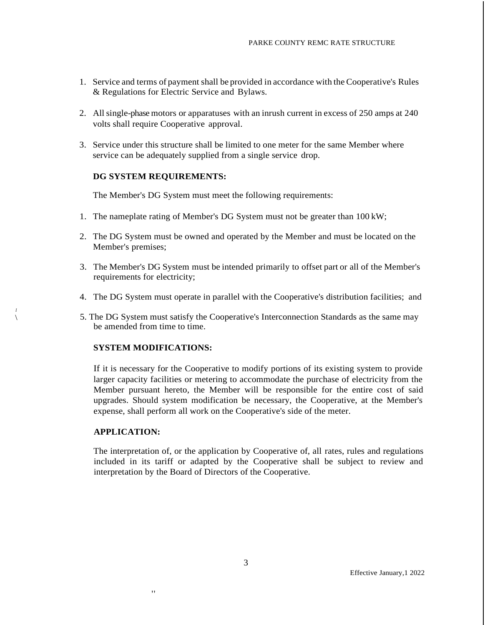- 1. Service and terms of payment shall be provided in accordance with the Cooperative's Rules & Regulations for Electric Service and Bylaws.
- 2. All single-phase motors or apparatuses with an inrush current in excess of 250 amps at 240 volts shall require Cooperative approval.
- 3. Service under this structure shall be limited to one meter for the same Member where service can be adequately supplied from a single service drop.

#### **DG SYSTEM REQUIREMENTS:**

The Member's DG System must meet the following requirements:

- 1. The nameplate rating of Member's DG System must not be greater than 100 kW;
- 2. The DG System must be owned and operated by the Member and must be located on the Member's premises;
- 3. The Member's DG System must be intended primarily to offset part or all of the Member's requirements for electricity;
- 4. The DG System must operate in parallel with the Cooperative's distribution facilities; and
- \ 5. The DG System must satisfy the Cooperative's Interconnection Standards as the same may be amended from time to time.

#### **SYSTEM MODIFICATIONS:**

,,

If it is necessary for the Cooperative to modify portions of its existing system to provide larger capacity facilities or metering to accommodate the purchase of electricity from the Member pursuant hereto, the Member will be responsible for the entire cost of said upgrades. Should system modification be necessary, the Cooperative, at the Member's expense, shall perform all work on the Cooperative's side of the meter.

#### **APPLICATION:**

*I*

The interpretation of, or the application by Cooperative of, all rates, rules and regulations included in its tariff or adapted by the Cooperative shall be subject to review and interpretation by the Board of Directors of the Cooperative.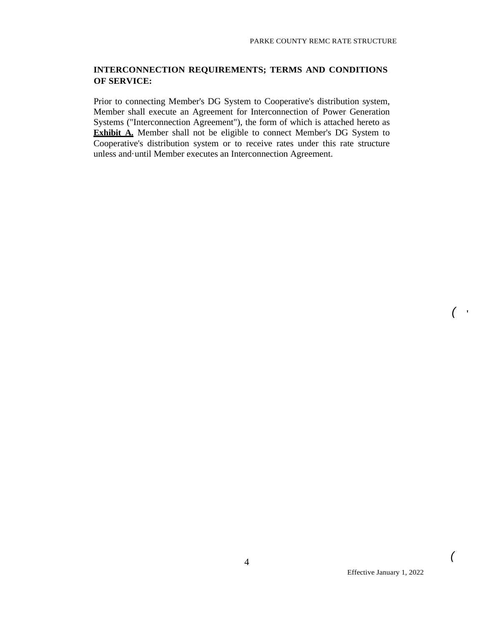## **INTERCONNECTION REQUIREMENTS; TERMS AND CONDITIONS OF SERVICE:**

Prior to connecting Member's DG System to Cooperative's distribution system, Member shall execute an Agreement for Interconnection of Power Generation Systems ("Interconnection Agreement"), the form of which is attached hereto as **Exhibit A.** Member shall not be eligible to connect Member's DG System to Cooperative's distribution system or to receive rates under this rate structure unless and·until Member executes an Interconnection Agreement.

*(* '

*(*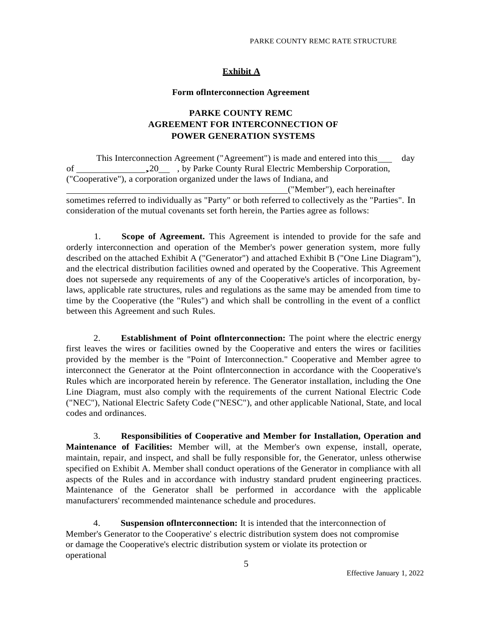## **Exhibit A**

#### **Form oflnterconnection Agreement**

## **PARKE COUNTY REMC AGREEMENT FOR INTERCONNECTION OF POWER GENERATION SYSTEMS**

This Interconnection Agreement ("Agreement") is made and entered into this day of ,20 , by Parke County Rural Electric Membership Corporation, ("Cooperative"), a corporation organized under the laws of Indiana, and ("Member"), each hereinafter sometimes referred to individually as "Party" or both referred to collectively as the "Parties". In

consideration of the mutual covenants set forth herein, the Parties agree as follows:

1. **Scope of Agreement.** This Agreement is intended to provide for the safe and orderly interconnection and operation of the Member's power generation system, more fully described on the attached Exhibit A ("Generator") and attached Exhibit B ("One Line Diagram"), and the electrical distribution facilities owned and operated by the Cooperative. This Agreement does not supersede any requirements of any of the Cooperative's articles of incorporation, bylaws, applicable rate structures, rules and regulations as the same may be amended from time to time by the Cooperative (the "Rules") and which shall be controlling in the event of a conflict between this Agreement and such Rules.

2. **Establishment of Point oflnterconnection:** The point where the electric energy first leaves the wires or facilities owned by the Cooperative and enters the wires or facilities provided by the member is the "Point of Interconnection." Cooperative and Member agree to interconnect the Generator at the Point oflnterconnection in accordance with the Cooperative's Rules which are incorporated herein by reference. The Generator installation, including the One Line Diagram, must also comply with the requirements of the current National Electric Code ("NEC"), National Electric Safety Code ("NESC"), and other applicable National, State, and local codes and ordinances.

3. **Responsibilities of Cooperative and Member for Installation, Operation and Maintenance of Facilities:** Member will, at the Member's own expense, install, operate, maintain, repair, and inspect, and shall be fully responsible for, the Generator, unless otherwise specified on Exhibit A. Member shall conduct operations of the Generator in compliance with all aspects of the Rules and in accordance with industry standard prudent engineering practices. Maintenance of the Generator shall be performed in accordance with the applicable manufacturers' recommended maintenance schedule and procedures.

4. **Suspension oflnterconnection:** It is intended that the interconnection of Member's Generator to the Cooperative' s electric distribution system does not compromise or damage the Cooperative's electric distribution system or violate its protection or operational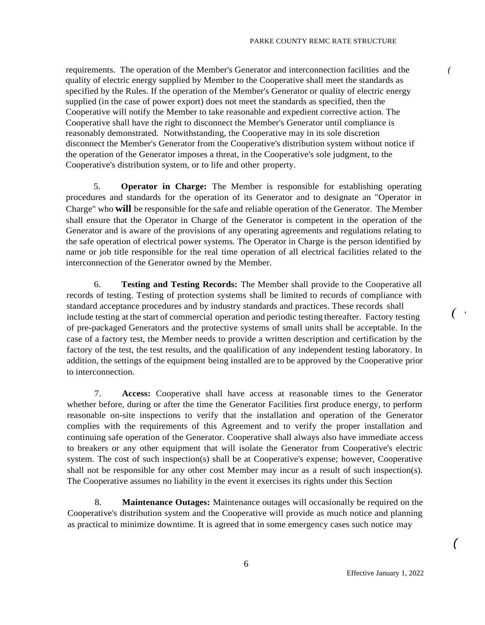requirements. The operation of the Member's Generator and interconnection facilities and the *(* quality of electric energy supplied by Member to the Cooperative shall meet the standards as specified by the Rules. If the operation of the Member's Generator or quality of electric energy supplied (in the case of power export) does not meet the standards as specified, then the Cooperative will notify the Member to take reasonable and expedient corrective action. The Cooperative shall have the right to disconnect the Member's Generator until compliance is reasonably demonstrated. Notwithstanding, the Cooperative may in its sole discretion disconnect the Member's Generator from the Cooperative's distribution system without notice if the operation of the Generator imposes a threat, in the Cooperative's sole judgment, to the Cooperative's distribution system, or to life and other property.

5. **Operator in Charge:** The Member is responsible for establishing operating procedures and standards for the operation of its Generator and to designate an "Operator in Charge" who **will** be responsible for the safe and reliable operation of the Generator. The Member shall ensure that the Operator in Charge of the Generator is competent in the operation of the Generator and is aware of the provisions of any operating agreements and regulations relating to the safe operation of electrical power systems. The Operator in Charge is the person identified by name or job title responsible for the real time operation of all electrical facilities related to the interconnection of the Generator owned by the Member.

6. **Testing and Testing Records:** The Member shall provide to the Cooperative all records of testing. Testing of protection systems shall be limited to records of compliance with standard acceptance procedures and by industry standards and practices. These records shall include testing at the start of commercial operation and periodic testing thereafter. Factory testing ' of pre-packaged Generators and the protective systems of small units shall be acceptable. In the case of a factory test, the Member needs to provide a written description and certification by the factory of the test, the test results, and the qualification of any independent testing laboratory. In addition, the settings of the equipment being installed are to be approved by the Cooperative prior to interconnection.

7. **Access:** Cooperative shall have access at reasonable times to the Generator whether before, during or after the time the Generator Facilities first produce energy, to perform reasonable on-site inspections to verify that the installation and operation of the Generator complies with the requirements of this Agreement and to verify the proper installation and continuing safe operation of the Generator. Cooperative shall always also have immediate access to breakers or any other equipment that will isolate the Generator from Cooperative's electric system. The cost of such inspection(s) shall be at Cooperative's expense; however, Cooperative shall not be responsible for any other cost Member may incur as a result of such inspection(s). The Cooperative assumes no liability in the event it exercises its rights under this Section

8. **Maintenance Outages:** Maintenance outages will occasionally be required on the Cooperative's distribution system and the Cooperative will provide as much notice and planning as practical to minimize downtime. It is agreed that in some emergency cases such notice may

*(*

*(*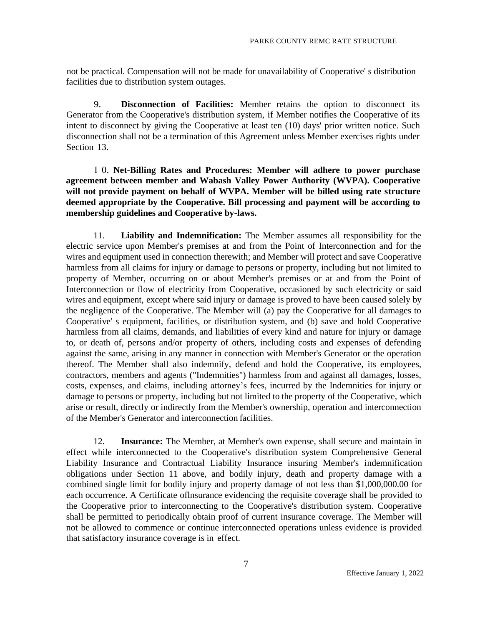not be practical. Compensation will not be made for unavailability of Cooperative' s distribution facilities due to distribution system outages.

9. **Disconnection of Facilities:** Member retains the option to disconnect its Generator from the Cooperative's distribution system, if Member notifies the Cooperative of its intent to disconnect by giving the Cooperative at least ten (10) days' prior written notice. Such disconnection shall not be a termination of this Agreement unless Member exercises rights under Section 13.

I 0. **Net-Billing Rates and Procedures: Member will adhere to power purchase agreement between member and Wabash Valley Power Authority (WVPA). Cooperative will not provide payment on behalf of WVPA. Member will be billed using rate structure deemed appropriate by the Cooperative. Bill processing and payment will be according to membership guidelines and Cooperative by-laws.**

11. **Liability and Indemnification:** The Member assumes all responsibility for the electric service upon Member's premises at and from the Point of Interconnection and for the wires and equipment used in connection therewith; and Member will protect and save Cooperative harmless from all claims for injury or damage to persons or property, including but not limited to property of Member, occurring on or about Member's premises or at and from the Point of Interconnection or flow of electricity from Cooperative, occasioned by such electricity or said wires and equipment, except where said injury or damage is proved to have been caused solely by the negligence of the Cooperative. The Member will (a) pay the Cooperative for all damages to Cooperative' s equipment, facilities, or distribution system, and (b) save and hold Cooperative harmless from all claims, demands, and liabilities of every kind and nature for injury or damage to, or death of, persons and/or property of others, including costs and expenses of defending against the same, arising in any manner in connection with Member's Generator or the operation thereof. The Member shall also indemnify, defend and hold the Cooperative, its employees, contractors, members and agents ("Indemnities") harmless from and against all damages, losses, costs, expenses, and claims, including attorney's fees, incurred by the Indemnities for injury or damage to persons or property, including but not limited to the property of the Cooperative, which arise or result, directly or indirectly from the Member's ownership, operation and interconnection of the Member's Generator and interconnection facilities.

12. **Insurance:** The Member, at Member's own expense, shall secure and maintain in effect while interconnected to the Cooperative's distribution system Comprehensive General Liability Insurance and Contractual Liability Insurance insuring Member's indemnification obligations under Section 11 above, and bodily injury, death and property damage with a combined single limit for bodily injury and property damage of not less than \$1,000,000.00 for each occurrence. A Certificate oflnsurance evidencing the requisite coverage shall be provided to the Cooperative prior to interconnecting to the Cooperative's distribution system. Cooperative shall be permitted to periodically obtain proof of current insurance coverage. The Member will not be allowed to commence or continue interconnected operations unless evidence is provided that satisfactory insurance coverage is in effect.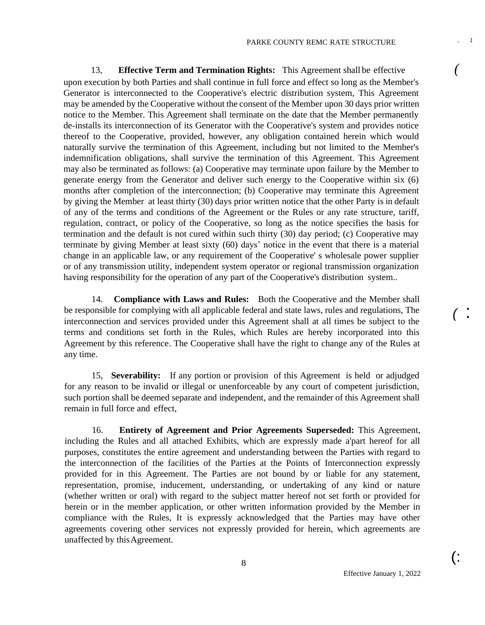13, **Effective Term and Termination Rights:** This Agreement shall be effective *(* upon execution by both Parties and shall continue in full force and effect so long as the Member's Generator is interconnected to the Cooperative's electric distribution system, This Agreement may be amended by the Cooperative without the consent of the Member upon 30 days prior written notice to the Member. This Agreement shall terminate on the date that the Member permanently de-installs its interconnection of its Generator with the Cooperative's system and provides notice thereof to the Cooperative, provided, however, any obligation contained herein which would naturally survive the termination of this Agreement, including but not limited to the Member's indemnification obligations, shall survive the termination of this Agreement. This Agreement may also be terminated as follows: (a) Cooperative may terminate upon failure by the Member to generate energy from the Generator and deliver such energy to the Cooperative within six (6) months after completion of the interconnection; (b) Cooperative may terminate this Agreement by giving the Member at least thirty (30) days prior written notice that the other Party is in default of any of the terms and conditions of the Agreement or the Rules or any rate structure, tariff, regulation, contract, or policy of the Cooperative, so long as the notice specifies the basis for termination and the default is not cured within such thirty (30) day period; (c) Cooperative may terminate by giving Member at least sixty (60) days' notice in the event that there is a material change in an applicable law, or any requirement of the Cooperative' s wholesale power supplier or of any transmission utility, independent system operator or regional transmission organization having responsibility for the operation of any part of the Cooperative's distribution system..

14. **Compliance with Laws and Rules:** Both the Cooperative and the Member shall be responsible for complying with all applicable federal and state laws, rules and regulations, The interconnection and services provided under this Agreement shall at all times be subject to the terms and conditions set forth in the Rules, which Rules are hereby incorporated into this Agreement by this reference. The Cooperative shall have the right to change any of the Rules at any time.

15, **Severability:** If any portion or provision of this Agreement is held or adjudged for any reason to be invalid or illegal or unenforceable by any court of competent jurisdiction, such portion shall be deemed separate and independent, and the remainder of this Agreement shall remain in full force and effect,

16. **Entirety of Agreement and Prior Agreements Superseded:** This Agreement, including the Rules and all attached Exhibits, which are expressly made a'part hereof for all purposes, constitutes the entire agreement and understanding between the Parties with regard to the interconnection of the facilities of the Parties at the Points of Interconnection expressly provided for in this Agreement. The Parties are not bound by or liable for any statement, representation, promise, inducement, understanding, or undertaking of any kind or nature (whether written or oral) with regard to the subject matter hereof not set forth or provided for herein or in the member application, or other written information provided by the Member in compliance with the Rules, It is expressly acknowledged that the Parties may have other agreements covering other services not expressly provided for herein, which agreements are unaffected by thisAgreement.

Effective January 1, 2022

(:

*(* :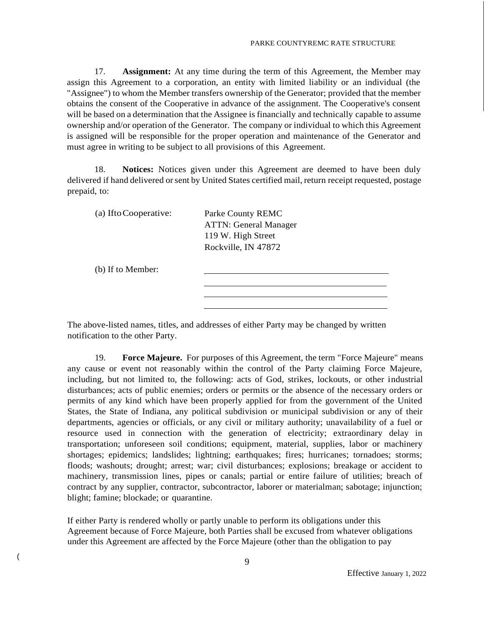17. **Assignment:** At any time during the term of this Agreement, the Member may assign this Agreement to a corporation, an entity with limited liability or an individual (the "Assignee") to whom the Member transfers ownership of the Generator; provided that the member obtains the consent of the Cooperative in advance of the assignment. The Cooperative's consent will be based on a determination that the Assignee is financially and technically capable to assume ownership and/or operation of the Generator. The company or individual to which this Agreement is assigned will be responsible for the proper operation and maintenance of the Generator and must agree in writing to be subject to all provisions of this Agreement.

18. **Notices:** Notices given under this Agreement are deemed to have been duly delivered if hand delivered orsent by United States certified mail, return receipt requested, postage prepaid, to:

| (a) If to Cooperative: | Parke County REMC            |  |
|------------------------|------------------------------|--|
|                        | <b>ATTN: General Manager</b> |  |
|                        | 119 W. High Street           |  |
|                        | Rockville, IN 47872          |  |
|                        |                              |  |
| (b) If to Member:      |                              |  |
|                        |                              |  |
|                        |                              |  |

The above-listed names, titles, and addresses of either Party may be changed by written notification to the other Party.

19. **Force Majeure.** For purposes of this Agreement, the term "Force Majeure" means any cause or event not reasonably within the control of the Party claiming Force Majeure, including, but not limited to, the following: acts of God, strikes, lockouts, or other industrial disturbances; acts of public enemies; orders or permits or the absence of the necessary orders or permits of any kind which have been properly applied for from the government of the United States, the State of Indiana, any political subdivision or municipal subdivision or any of their departments, agencies or officials, or any civil or military authority; unavailability of a fuel or resource used in connection with the generation of electricity; extraordinary delay in transportation; unforeseen soil conditions; equipment, material, supplies, labor or machinery shortages; epidemics; landslides; lightning; earthquakes; fires; hurricanes; tornadoes; storms; floods; washouts; drought; arrest; war; civil disturbances; explosions; breakage or accident to machinery, transmission lines, pipes or canals; partial or entire failure of utilities; breach of contract by any supplier, contractor, subcontractor, laborer or materialman; sabotage; injunction; blight; famine; blockade; or quarantine.

If either Party is rendered wholly or partly unable to perform its obligations under this Agreement because of Force Majeure, both Parties shall be excused from whatever obligations under this Agreement are affected by the Force Majeure (other than the obligation to pay

(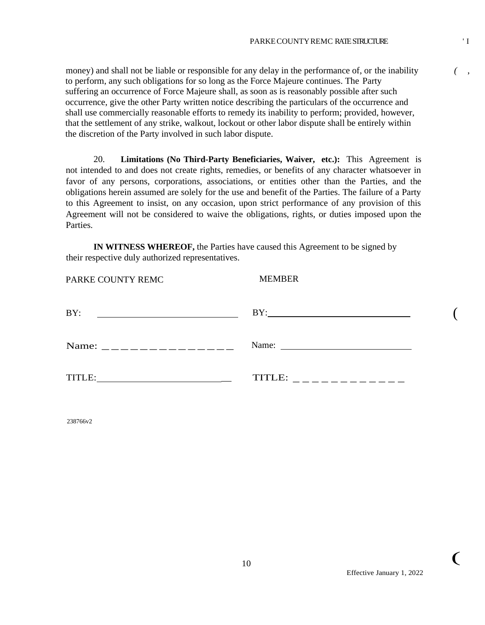money) and shall not be liable or responsible for any delay in the performance of, or the inability to perform, any such obligations for so long as the Force Majeure continues. The Party suffering an occurrence of Force Majeure shall, as soon as is reasonably possible after such occurrence, give the other Party written notice describing the particulars of the occurrence and shall use commercially reasonable efforts to remedy its inability to perform; provided, however, that the settlement of any strike, walkout, lockout or other labor dispute shall be entirely within the discretion of the Party involved in such labor dispute.

20. **Limitations (No Third-Party Beneficiaries, Waiver, etc.):** This Agreement is not intended to and does not create rights, remedies, or benefits of any character whatsoever in favor of any persons, corporations, associations, or entities other than the Parties, and the obligations herein assumed are solely for the use and benefit of the Parties. The failure of a Party to this Agreement to insist, on any occasion, upon strict performance of any provision of this Agreement will not be considered to waive the obligations, rights, or duties imposed upon the Parties.

**IN WITNESS WHEREOF,** the Parties have caused this Agreement to be signed by their respective duly authorized representatives.

| PARKE COUNTY REMC                                         | <b>MEMBER</b>                                                                                                                                                                                                                                                                                                                                                                                                                                     |  |
|-----------------------------------------------------------|---------------------------------------------------------------------------------------------------------------------------------------------------------------------------------------------------------------------------------------------------------------------------------------------------------------------------------------------------------------------------------------------------------------------------------------------------|--|
| BY:<br><u> 1989 - John Stein, Amerikaansk politiker (</u> | BY:                                                                                                                                                                                                                                                                                                                                                                                                                                               |  |
|                                                           | Name: $\frac{1}{\sqrt{1-\frac{1}{2}} \cdot \frac{1}{2} \cdot \frac{1}{2} \cdot \frac{1}{2} \cdot \frac{1}{2} \cdot \frac{1}{2} \cdot \frac{1}{2} \cdot \frac{1}{2} \cdot \frac{1}{2} \cdot \frac{1}{2} \cdot \frac{1}{2} \cdot \frac{1}{2} \cdot \frac{1}{2} \cdot \frac{1}{2} \cdot \frac{1}{2} \cdot \frac{1}{2} \cdot \frac{1}{2} \cdot \frac{1}{2} \cdot \frac{1}{2} \cdot \frac{1}{2} \cdot \frac{1}{2} \cdot \frac{1}{2} \cdot \frac{1}{2}$ |  |
|                                                           | TITLE: _ _ _ _ _ _ _ _ _ _ _ _ _                                                                                                                                                                                                                                                                                                                                                                                                                  |  |
|                                                           |                                                                                                                                                                                                                                                                                                                                                                                                                                                   |  |

238766v2

 $\big($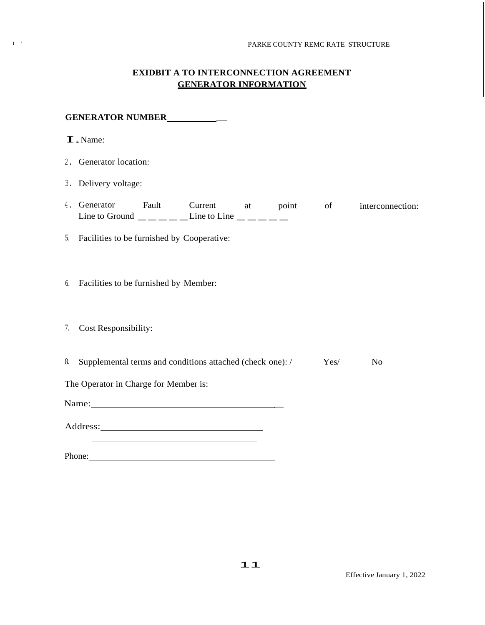### **EXIDBIT A TO INTERCONNECTION AGREEMENT GENERATOR INFORMATION**

**GENERATOR NUMBER \_** I.Name: 2. Generator location: 3. Delivery voltage: 4. Generator Fault Current at point of interconnection: Generator Fault Current at poi<br>
Line to Ground  $\frac{\phantom{+}}{\phantom{+}}$   $\phantom{+}-\phantom{+}-\phantom{+}$  Line to Line  $\phantom{+}\phantom{+}\phantom{+}$ 5. Facilities to be furnished by Cooperative: 6. Facilities to be furnished by Member: 7. Cost Responsibility: 8. Supplemental terms and conditions attached (check one):  $\angle$  Yes No The Operator in Charge for Member is: Name: Address: Phone: